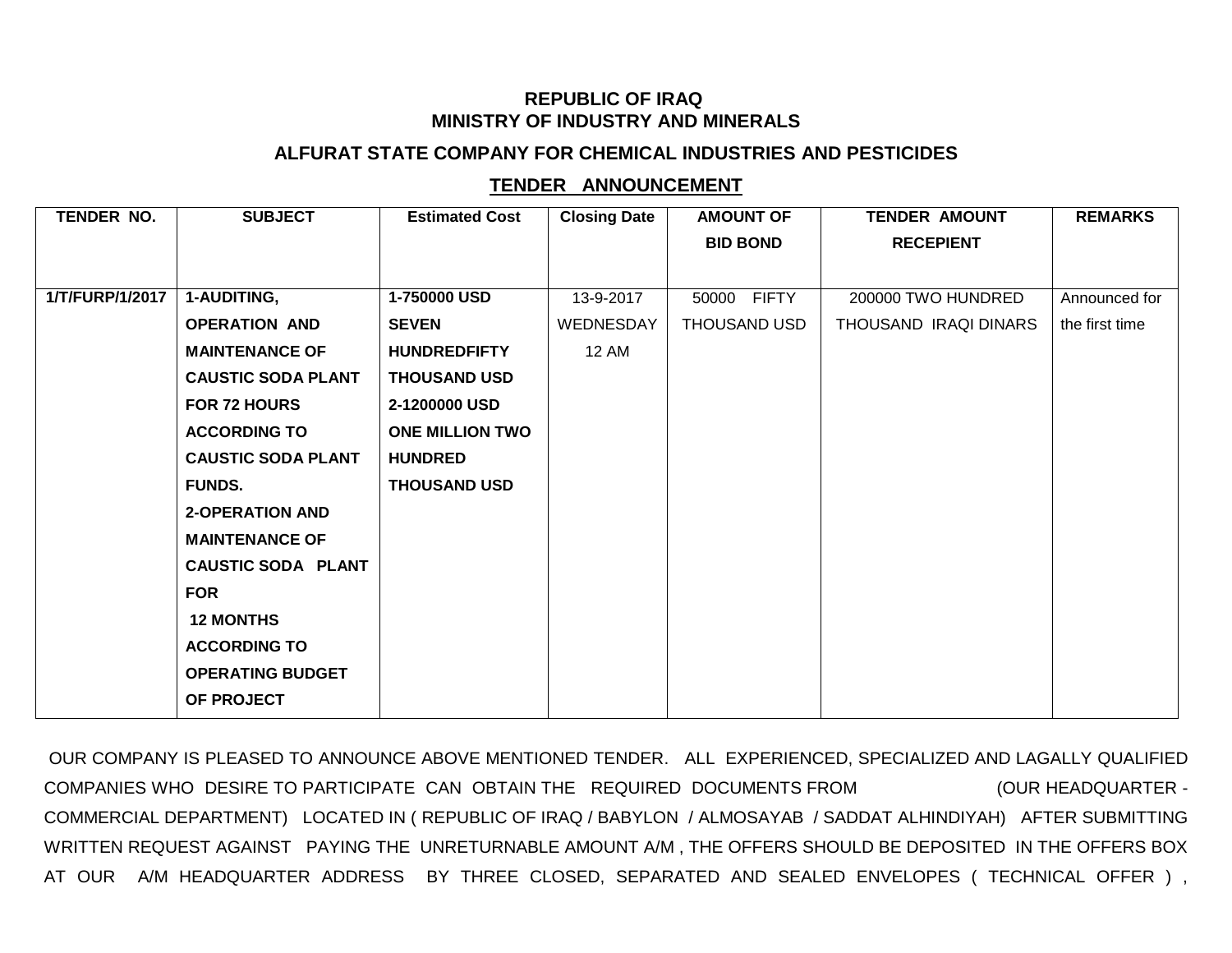## **REPUBLIC OF IRAQ MINISTRY OF INDUSTRY AND MINERALS**

## **ALFURAT STATE COMPANY FOR CHEMICAL INDUSTRIES AND PESTICIDES**

## **TENDER ANNOUNCEMENT**

| TENDER NO.      | <b>SUBJECT</b>            | <b>Estimated Cost</b>  | <b>Closing Date</b> | <b>AMOUNT OF</b>      | <b>TENDER AMOUNT</b>  | <b>REMARKS</b> |
|-----------------|---------------------------|------------------------|---------------------|-----------------------|-----------------------|----------------|
|                 |                           |                        |                     | <b>BID BOND</b>       | <b>RECEPIENT</b>      |                |
|                 |                           |                        |                     |                       |                       |                |
| 1/T/FURP/1/2017 | 1-AUDITING,               | 1-750000 USD           | 13-9-2017           | <b>FIFTY</b><br>50000 | 200000 TWO HUNDRED    | Announced for  |
|                 | <b>OPERATION AND</b>      | <b>SEVEN</b>           | WEDNESDAY           | <b>THOUSAND USD</b>   | THOUSAND IRAQI DINARS | the first time |
|                 | <b>MAINTENANCE OF</b>     | <b>HUNDREDFIFTY</b>    | <b>12 AM</b>        |                       |                       |                |
|                 | <b>CAUSTIC SODA PLANT</b> | <b>THOUSAND USD</b>    |                     |                       |                       |                |
|                 | FOR 72 HOURS              | 2-1200000 USD          |                     |                       |                       |                |
|                 | <b>ACCORDING TO</b>       | <b>ONE MILLION TWO</b> |                     |                       |                       |                |
|                 | <b>CAUSTIC SODA PLANT</b> | <b>HUNDRED</b>         |                     |                       |                       |                |
|                 | <b>FUNDS.</b>             | <b>THOUSAND USD</b>    |                     |                       |                       |                |
|                 | <b>2-OPERATION AND</b>    |                        |                     |                       |                       |                |
|                 | <b>MAINTENANCE OF</b>     |                        |                     |                       |                       |                |
|                 | <b>CAUSTIC SODA PLANT</b> |                        |                     |                       |                       |                |
|                 | <b>FOR</b>                |                        |                     |                       |                       |                |
|                 | <b>12 MONTHS</b>          |                        |                     |                       |                       |                |
|                 | <b>ACCORDING TO</b>       |                        |                     |                       |                       |                |
|                 | <b>OPERATING BUDGET</b>   |                        |                     |                       |                       |                |
|                 | OF PROJECT                |                        |                     |                       |                       |                |

OUR COMPANY IS PLEASED TO ANNOUNCE ABOVE MENTIONED TENDER. ALL EXPERIENCED, SPECIALIZED AND LAGALLY QUALIFIED COMPANIES WHO DESIRE TO PARTICIPATE CAN OBTAIN THE REQUIRED DOCUMENTS FROM (OUR HEADQUARTER - COMMERCIAL DEPARTMENT) LOCATED IN ( REPUBLIC OF IRAQ / BABYLON / ALMOSAYAB / SADDAT ALHINDIYAH) AFTER SUBMITTING WRITTEN REQUEST AGAINST PAYING THE UNRETURNABLE AMOUNT A/M , THE OFFERS SHOULD BE DEPOSITED IN THE OFFERS BOX AT OUR A/M HEADQUARTER ADDRESS BY THREE CLOSED, SEPARATED AND SEALED ENVELOPES ( TECHNICAL OFFER ) ,